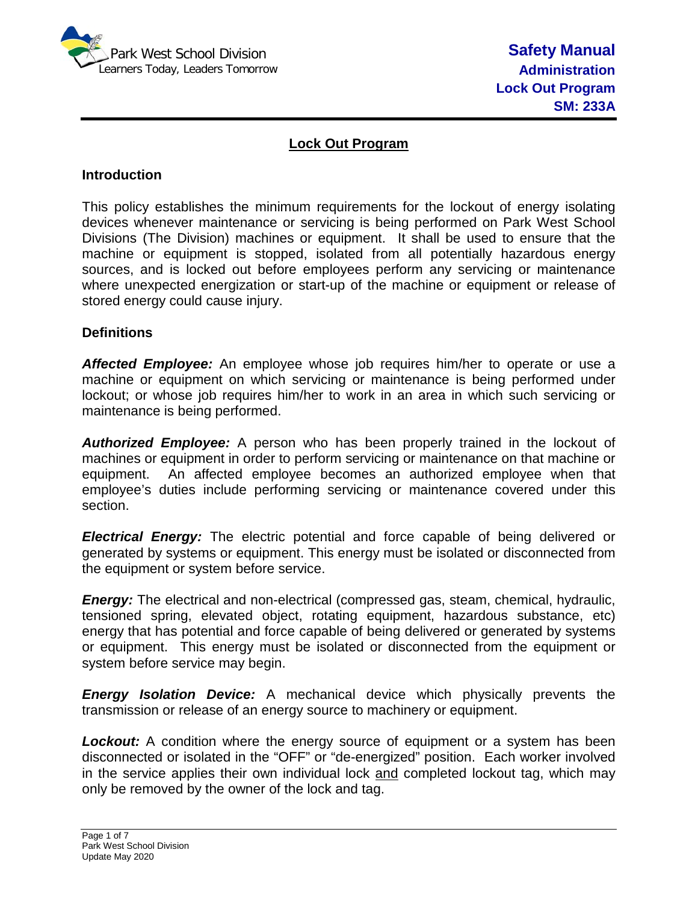

# **Lock Out Program**

### **Introduction**

This policy establishes the minimum requirements for the lockout of energy isolating devices whenever maintenance or servicing is being performed on Park West School Divisions (The Division) machines or equipment. It shall be used to ensure that the machine or equipment is stopped, isolated from all potentially hazardous energy sources, and is locked out before employees perform any servicing or maintenance where unexpected energization or start-up of the machine or equipment or release of stored energy could cause injury.

#### **Definitions**

*Affected Employee:* An employee whose job requires him/her to operate or use a machine or equipment on which servicing or maintenance is being performed under lockout; or whose job requires him/her to work in an area in which such servicing or maintenance is being performed.

*Authorized Employee:* A person who has been properly trained in the lockout of machines or equipment in order to perform servicing or maintenance on that machine or equipment. An affected employee becomes an authorized employee when that employee's duties include performing servicing or maintenance covered under this section.

*Electrical Energy:* The electric potential and force capable of being delivered or generated by systems or equipment. This energy must be isolated or disconnected from the equipment or system before service.

**Energy:** The electrical and non-electrical (compressed gas, steam, chemical, hydraulic, tensioned spring, elevated object, rotating equipment, hazardous substance, etc) energy that has potential and force capable of being delivered or generated by systems or equipment. This energy must be isolated or disconnected from the equipment or system before service may begin.

*Energy Isolation Device:* A mechanical device which physically prevents the transmission or release of an energy source to machinery or equipment.

**Lockout:** A condition where the energy source of equipment or a system has been disconnected or isolated in the "OFF" or "de-energized" position. Each worker involved in the service applies their own individual lock and completed lockout tag, which may only be removed by the owner of the lock and tag.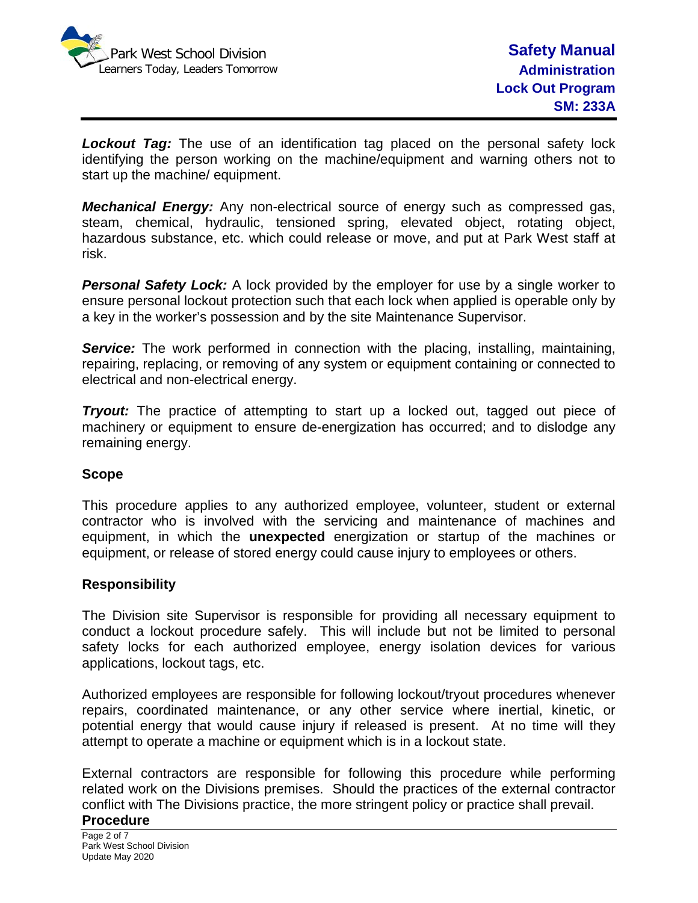

**Lockout Tag:** The use of an identification tag placed on the personal safety lock identifying the person working on the machine/equipment and warning others not to start up the machine/ equipment.

*Mechanical Energy:* Any non-electrical source of energy such as compressed gas, steam, chemical, hydraulic, tensioned spring, elevated object, rotating object, hazardous substance, etc. which could release or move, and put at Park West staff at risk.

**Personal Safety Lock:** A lock provided by the employer for use by a single worker to ensure personal lockout protection such that each lock when applied is operable only by a key in the worker's possession and by the site Maintenance Supervisor.

**Service:** The work performed in connection with the placing, installing, maintaining, repairing, replacing, or removing of any system or equipment containing or connected to electrical and non-electrical energy.

*Tryout:* The practice of attempting to start up a locked out, tagged out piece of machinery or equipment to ensure de-energization has occurred; and to dislodge any remaining energy.

## **Scope**

This procedure applies to any authorized employee, volunteer, student or external contractor who is involved with the servicing and maintenance of machines and equipment, in which the **unexpected** energization or startup of the machines or equipment, or release of stored energy could cause injury to employees or others.

## **Responsibility**

The Division site Supervisor is responsible for providing all necessary equipment to conduct a lockout procedure safely. This will include but not be limited to personal safety locks for each authorized employee, energy isolation devices for various applications, lockout tags, etc.

Authorized employees are responsible for following lockout/tryout procedures whenever repairs, coordinated maintenance, or any other service where inertial, kinetic, or potential energy that would cause injury if released is present. At no time will they attempt to operate a machine or equipment which is in a lockout state.

External contractors are responsible for following this procedure while performing related work on the Divisions premises. Should the practices of the external contractor conflict with The Divisions practice, the more stringent policy or practice shall prevail.

#### **Procedure**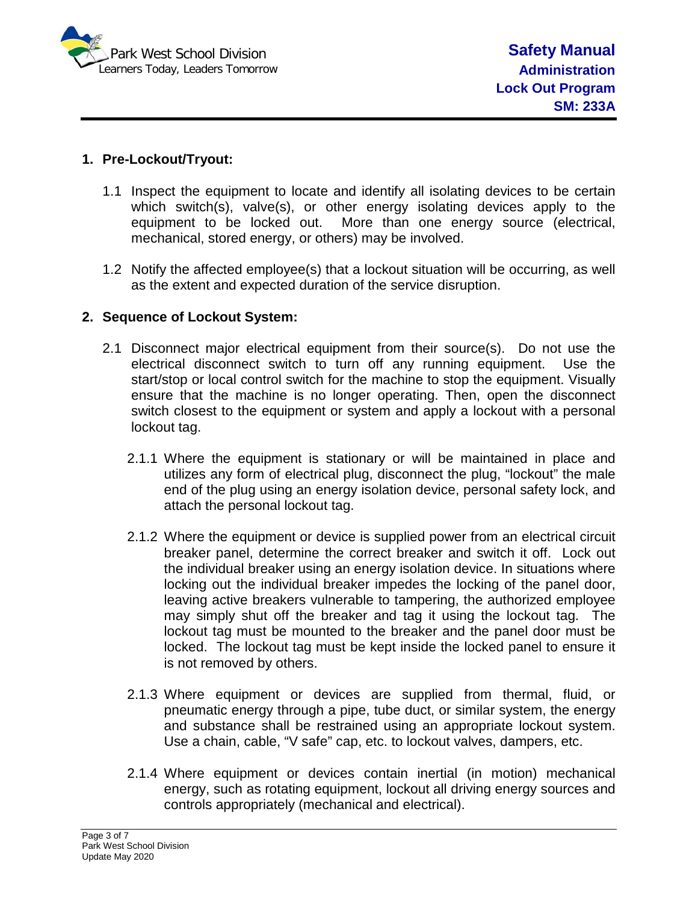

# **1. Pre-Lockout/Tryout:**

- 1.1 Inspect the equipment to locate and identify all isolating devices to be certain which switch(s), valve(s), or other energy isolating devices apply to the equipment to be locked out. More than one energy source (electrical, mechanical, stored energy, or others) may be involved.
- 1.2 Notify the affected employee(s) that a lockout situation will be occurring, as well as the extent and expected duration of the service disruption.

## **2. Sequence of Lockout System:**

- 2.1 Disconnect major electrical equipment from their source(s). Do not use the electrical disconnect switch to turn off any running equipment. Use the start/stop or local control switch for the machine to stop the equipment. Visually ensure that the machine is no longer operating. Then, open the disconnect switch closest to the equipment or system and apply a lockout with a personal lockout tag.
	- 2.1.1 Where the equipment is stationary or will be maintained in place and utilizes any form of electrical plug, disconnect the plug, "lockout" the male end of the plug using an energy isolation device, personal safety lock, and attach the personal lockout tag.
	- 2.1.2 Where the equipment or device is supplied power from an electrical circuit breaker panel, determine the correct breaker and switch it off. Lock out the individual breaker using an energy isolation device. In situations where locking out the individual breaker impedes the locking of the panel door, leaving active breakers vulnerable to tampering, the authorized employee may simply shut off the breaker and tag it using the lockout tag. The lockout tag must be mounted to the breaker and the panel door must be locked. The lockout tag must be kept inside the locked panel to ensure it is not removed by others.
	- 2.1.3 Where equipment or devices are supplied from thermal, fluid, or pneumatic energy through a pipe, tube duct, or similar system, the energy and substance shall be restrained using an appropriate lockout system. Use a chain, cable, "V safe" cap, etc. to lockout valves, dampers, etc.
	- 2.1.4 Where equipment or devices contain inertial (in motion) mechanical energy, such as rotating equipment, lockout all driving energy sources and controls appropriately (mechanical and electrical).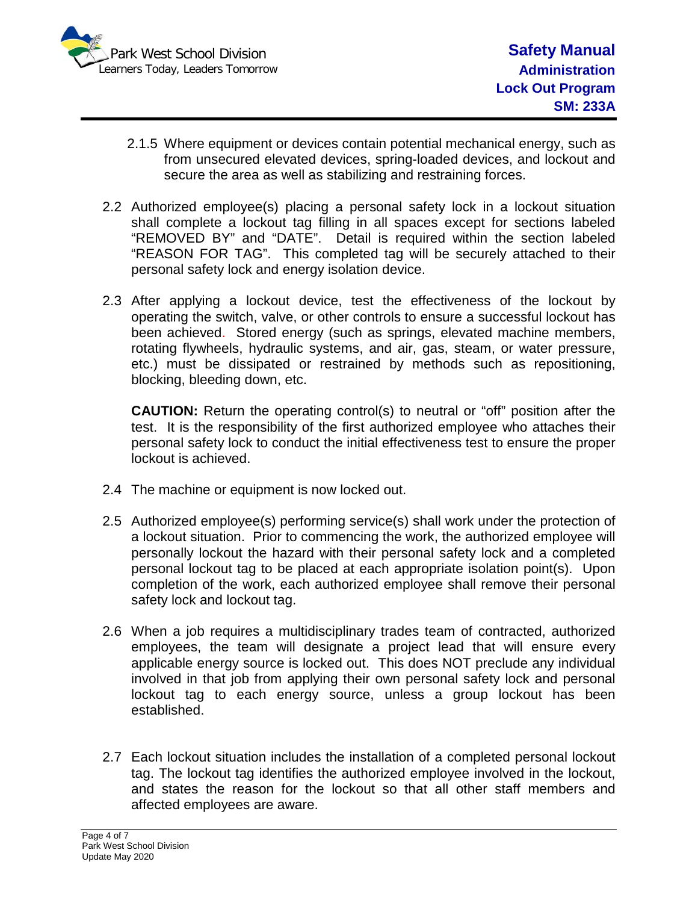

- 2.1.5 Where equipment or devices contain potential mechanical energy, such as from unsecured elevated devices, spring-loaded devices, and lockout and secure the area as well as stabilizing and restraining forces.
- 2.2 Authorized employee(s) placing a personal safety lock in a lockout situation shall complete a lockout tag filling in all spaces except for sections labeled "REMOVED BY" and "DATE". Detail is required within the section labeled "REASON FOR TAG". This completed tag will be securely attached to their personal safety lock and energy isolation device.
- 2.3 After applying a lockout device, test the effectiveness of the lockout by operating the switch, valve, or other controls to ensure a successful lockout has been achieved. Stored energy (such as springs, elevated machine members, rotating flywheels, hydraulic systems, and air, gas, steam, or water pressure, etc.) must be dissipated or restrained by methods such as repositioning, blocking, bleeding down, etc.

**CAUTION:** Return the operating control(s) to neutral or "off" position after the test. It is the responsibility of the first authorized employee who attaches their personal safety lock to conduct the initial effectiveness test to ensure the proper lockout is achieved.

- 2.4 The machine or equipment is now locked out.
- 2.5 Authorized employee(s) performing service(s) shall work under the protection of a lockout situation. Prior to commencing the work, the authorized employee will personally lockout the hazard with their personal safety lock and a completed personal lockout tag to be placed at each appropriate isolation point(s). Upon completion of the work, each authorized employee shall remove their personal safety lock and lockout tag.
- 2.6 When a job requires a multidisciplinary trades team of contracted, authorized employees, the team will designate a project lead that will ensure every applicable energy source is locked out. This does NOT preclude any individual involved in that job from applying their own personal safety lock and personal lockout tag to each energy source, unless a group lockout has been established.
- 2.7 Each lockout situation includes the installation of a completed personal lockout tag. The lockout tag identifies the authorized employee involved in the lockout, and states the reason for the lockout so that all other staff members and affected employees are aware.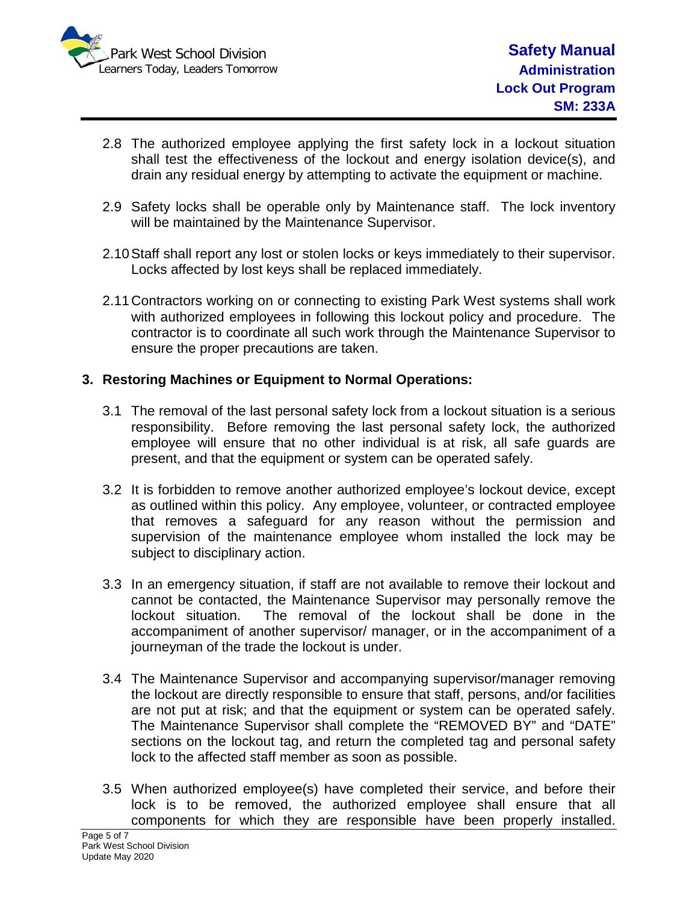

- 2.8 The authorized employee applying the first safety lock in a lockout situation shall test the effectiveness of the lockout and energy isolation device(s), and drain any residual energy by attempting to activate the equipment or machine.
- 2.9 Safety locks shall be operable only by Maintenance staff. The lock inventory will be maintained by the Maintenance Supervisor.
- 2.10Staff shall report any lost or stolen locks or keys immediately to their supervisor. Locks affected by lost keys shall be replaced immediately.
- 2.11Contractors working on or connecting to existing Park West systems shall work with authorized employees in following this lockout policy and procedure. The contractor is to coordinate all such work through the Maintenance Supervisor to ensure the proper precautions are taken.

## **3. Restoring Machines or Equipment to Normal Operations:**

- 3.1 The removal of the last personal safety lock from a lockout situation is a serious responsibility. Before removing the last personal safety lock, the authorized employee will ensure that no other individual is at risk, all safe guards are present, and that the equipment or system can be operated safely.
- 3.2 It is forbidden to remove another authorized employee's lockout device, except as outlined within this policy. Any employee, volunteer, or contracted employee that removes a safeguard for any reason without the permission and supervision of the maintenance employee whom installed the lock may be subject to disciplinary action.
- 3.3 In an emergency situation, if staff are not available to remove their lockout and cannot be contacted, the Maintenance Supervisor may personally remove the lockout situation. The removal of the lockout shall be done in the accompaniment of another supervisor/ manager, or in the accompaniment of a journeyman of the trade the lockout is under.
- 3.4 The Maintenance Supervisor and accompanying supervisor/manager removing the lockout are directly responsible to ensure that staff, persons, and/or facilities are not put at risk; and that the equipment or system can be operated safely. The Maintenance Supervisor shall complete the "REMOVED BY" and "DATE" sections on the lockout tag, and return the completed tag and personal safety lock to the affected staff member as soon as possible.
- 3.5 When authorized employee(s) have completed their service, and before their lock is to be removed, the authorized employee shall ensure that all components for which they are responsible have been properly installed.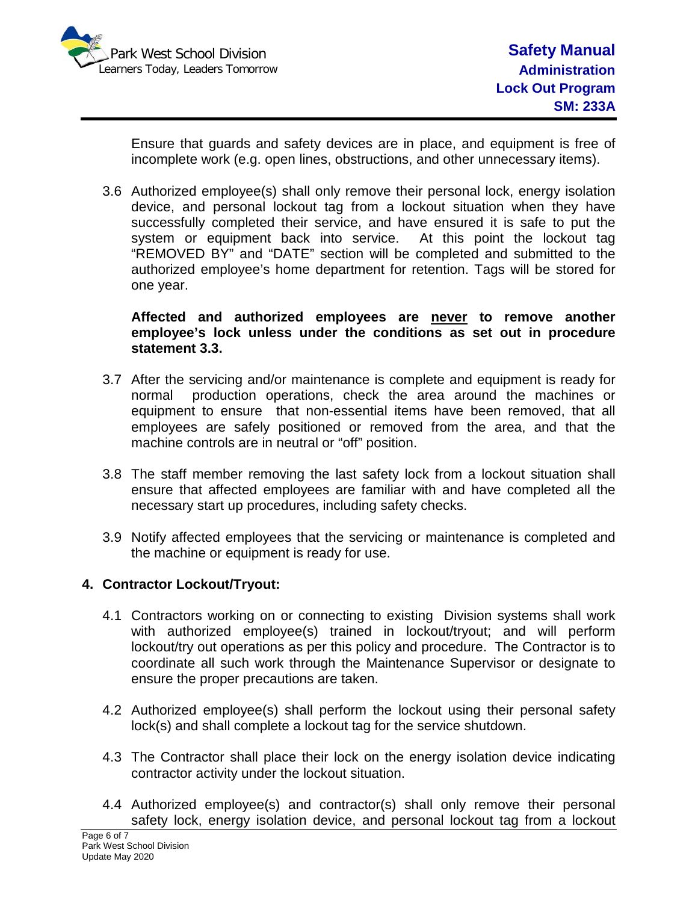

Ensure that guards and safety devices are in place, and equipment is free of incomplete work (e.g. open lines, obstructions, and other unnecessary items).

3.6 Authorized employee(s) shall only remove their personal lock, energy isolation device, and personal lockout tag from a lockout situation when they have successfully completed their service, and have ensured it is safe to put the system or equipment back into service.At this point the lockout tag "REMOVED BY" and "DATE" section will be completed and submitted to the authorized employee's home department for retention. Tags will be stored for one year.

**Affected and authorized employees are never to remove another employee's lock unless under the conditions as set out in procedure statement 3.3.**

- 3.7 After the servicing and/or maintenance is complete and equipment is ready for normal production operations, check the area around the machines or equipment to ensure that non-essential items have been removed, that all employees are safely positioned or removed from the area, and that the machine controls are in neutral or "off" position.
- 3.8 The staff member removing the last safety lock from a lockout situation shall ensure that affected employees are familiar with and have completed all the necessary start up procedures, including safety checks.
- 3.9 Notify affected employees that the servicing or maintenance is completed and the machine or equipment is ready for use.

## **4. Contractor Lockout/Tryout:**

- 4.1 Contractors working on or connecting to existing Division systems shall work with authorized employee(s) trained in lockout/tryout; and will perform lockout/try out operations as per this policy and procedure. The Contractor is to coordinate all such work through the Maintenance Supervisor or designate to ensure the proper precautions are taken.
- 4.2 Authorized employee(s) shall perform the lockout using their personal safety lock(s) and shall complete a lockout tag for the service shutdown.
- 4.3 The Contractor shall place their lock on the energy isolation device indicating contractor activity under the lockout situation.
- 4.4 Authorized employee(s) and contractor(s) shall only remove their personal safety lock, energy isolation device, and personal lockout tag from a lockout